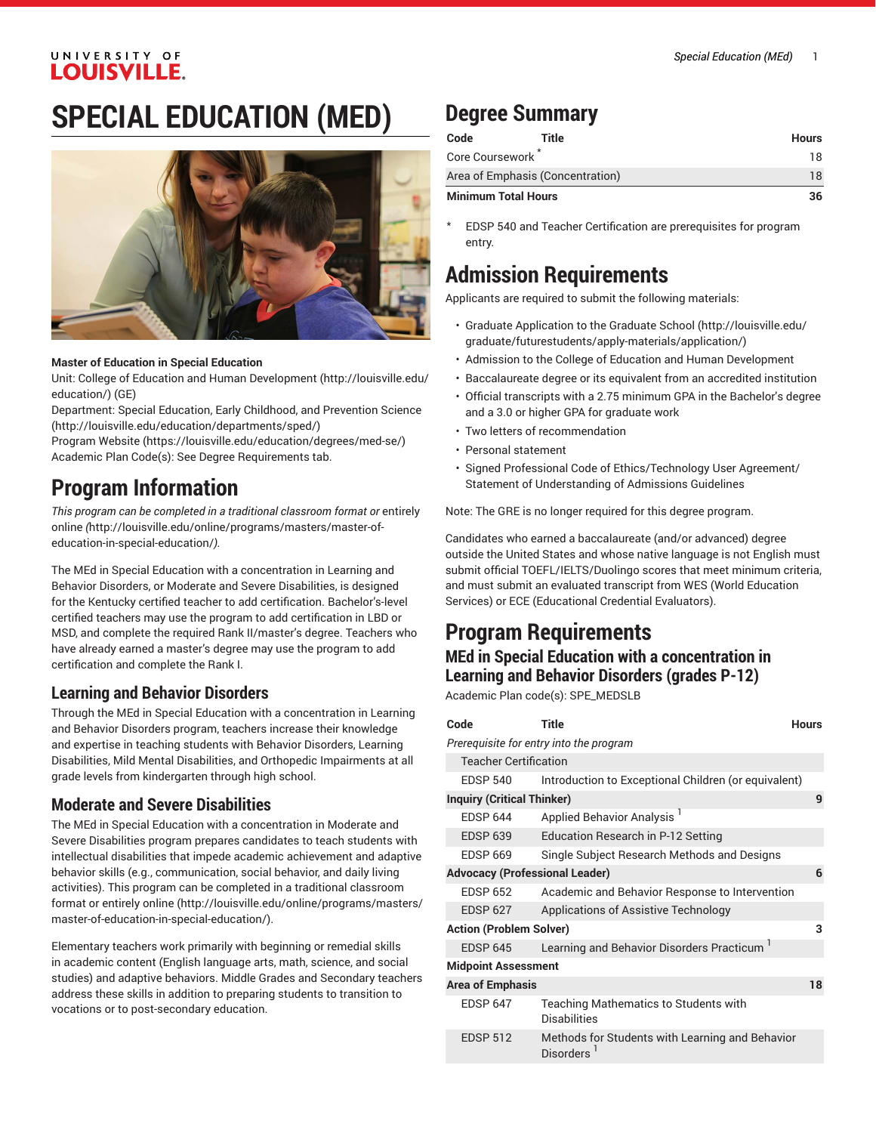### UNIVERSITY OF **LOUISVILLE.**

# **SPECIAL EDUCATION (MED)**



#### **Master of Education in Special Education**

Unit: College of Education and Human [Development \(http://louisville.edu/](http://louisville.edu/education/) [education/](http://louisville.edu/education/)) (GE)

Department: Special Education, Early Childhood, and [Prevention](http://louisville.edu/education/departments/sped/) Science (<http://louisville.edu/education/departments/sped/>)

[Program](https://louisville.edu/education/degrees/med-se/) Website [\(https://louisville.edu/education/degrees/med-se/\)](https://louisville.edu/education/degrees/med-se/) Academic Plan Code(s): See Degree Requirements tab.

## **Program Information**

*This program can be completed in a traditional classroom format or* [entirely](http://louisville.edu/online/programs/masters/master-of-education-in-special-education/) [online](http://louisville.edu/online/programs/masters/master-of-education-in-special-education/) *(*[http://louisville.edu/online/programs/masters/master-of](http://louisville.edu/online/programs/masters/master-of-education-in-special-education/)[education-in-special-education/](http://louisville.edu/online/programs/masters/master-of-education-in-special-education/)*).*

The MEd in Special Education with a concentration in Learning and Behavior Disorders, or Moderate and Severe Disabilities, is designed for the Kentucky certified teacher to add certification. Bachelor's-level certified teachers may use the program to add certification in LBD or MSD, and complete the required Rank II/master's degree. Teachers who have already earned a master's degree may use the program to add certification and complete the Rank I.

## **Learning and Behavior Disorders**

Through the MEd in Special Education with a concentration in Learning and Behavior Disorders program, teachers increase their knowledge and expertise in teaching students with Behavior Disorders, Learning Disabilities, Mild Mental Disabilities, and Orthopedic Impairments at all grade levels from kindergarten through high school.

### **Moderate and Severe Disabilities**

The MEd in Special Education with a concentration in Moderate and Severe Disabilities program prepares candidates to teach students with intellectual disabilities that impede academic achievement and adaptive behavior skills (e.g., communication, social behavior, and daily living activities). This program can be completed in a traditional classroom format or [entirely](http://louisville.edu/online/programs/masters/master-of-education-in-special-education/) online [\(http://louisville.edu/online/programs/masters/](http://louisville.edu/online/programs/masters/master-of-education-in-special-education/) [master-of-education-in-special-education/\)](http://louisville.edu/online/programs/masters/master-of-education-in-special-education/).

Elementary teachers work primarily with beginning or remedial skills in academic content (English language arts, math, science, and social studies) and adaptive behaviors. Middle Grades and Secondary teachers address these skills in addition to preparing students to transition to vocations or to post-secondary education.

## **Degree Summary**

| Code                       | Title                            | <b>Hours</b> |
|----------------------------|----------------------------------|--------------|
| Core Coursework            |                                  | 18           |
|                            | Area of Emphasis (Concentration) | 18           |
| <b>Minimum Total Hours</b> |                                  | 36           |

EDSP 540 and Teacher Certification are prerequisites for program entry.

## **Admission Requirements**

Applicants are required to submit the following materials:

- Graduate Application to the [Graduate School \(http://louisville.edu/](http://louisville.edu/graduate/futurestudents/apply-materials/application/) [graduate/futurestudents/apply-materials/application/](http://louisville.edu/graduate/futurestudents/apply-materials/application/))
- Admission to the College of Education and Human Development
- Baccalaureate degree or its equivalent from an accredited institution
- Official transcripts with a 2.75 minimum GPA in the Bachelor's degree and a 3.0 or higher GPA for graduate work
- Two letters of recommendation
- Personal statement
- Signed Professional Code of Ethics/Technology User Agreement/ Statement of Understanding of Admissions Guidelines

Note: The GRE is no longer required for this degree program.

Candidates who earned a baccalaureate (and/or advanced) degree outside the United States and whose native language is not English must submit official TOEFL/IELTS/Duolingo scores that meet minimum criteria, and must submit an evaluated transcript from WES (World Education Services) or ECE (Educational Credential Evaluators).

## **Program Requirements**

### **MEd in Special Education with a concentration in Learning and Behavior Disorders (grades P-12)**

Academic Plan code(s): SPE\_MEDSLB

| Code                                  | Title                                                        | Hours |
|---------------------------------------|--------------------------------------------------------------|-------|
|                                       | Prerequisite for entry into the program                      |       |
| <b>Teacher Certification</b>          |                                                              |       |
| <b>EDSP 540</b>                       | Introduction to Exceptional Children (or equivalent)         |       |
| <b>Inquiry (Critical Thinker)</b>     |                                                              | 9     |
| <b>FDSP 644</b>                       | Applied Behavior Analysis <sup>1</sup>                       |       |
| <b>EDSP 639</b>                       | Education Research in P-12 Setting                           |       |
| <b>FDSP 669</b>                       | Single Subject Research Methods and Designs                  |       |
| <b>Advocacy (Professional Leader)</b> |                                                              | 6     |
| <b>FDSP 652</b>                       | Academic and Behavior Response to Intervention               |       |
| <b>EDSP 627</b>                       | Applications of Assistive Technology                         |       |
| <b>Action (Problem Solver)</b>        |                                                              | 3     |
| <b>EDSP 645</b>                       | Learning and Behavior Disorders Practicum <sup>1</sup>       |       |
| <b>Midpoint Assessment</b>            |                                                              |       |
| <b>Area of Emphasis</b>               |                                                              | 18    |
| <b>EDSP 647</b>                       | Teaching Mathematics to Students with<br><b>Disabilities</b> |       |
| <b>EDSP 512</b>                       | Methods for Students with Learning and Behavior<br>Disorders |       |